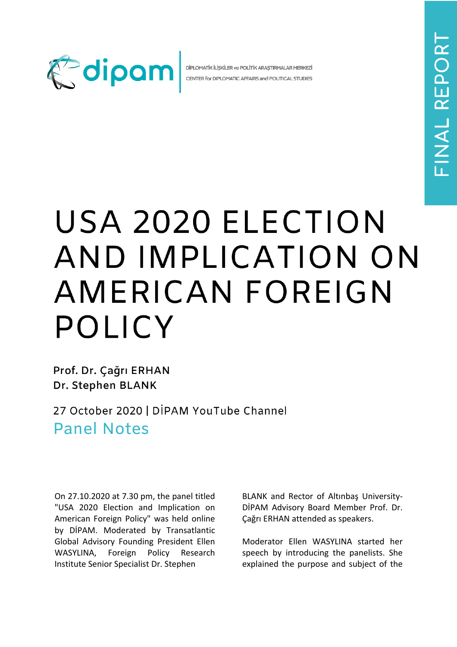

DİPLOMATİK İLİŞKİLER ve POLİTİK ARAŞTIRMALAR MERKEZİ CENTER for DIPLOMATIC AFFAIRS and POLITICAL STUDIES

## USA 2020 ELECTION AND IMPLICATION ON AMERICAN FOREIGN **POLICY**

Prof. Dr. Çağrı ERHAN Dr. Stephen BLANK

27 October 2020 | DİPAM YouTube Channel **Panel Notes** 

On 27.10.2020 at 7.30 pm, the panel titled "USA 2020 Election and Implication on American Foreign Policy" was held online by DİPAM. Moderated by Transatlantic Global Advisory Founding President Ellen WASYLINA, Foreign Policy Research Institute Senior Specialist Dr. Stephen

BLANK and Rector of Altınbaş University-DİPAM Advisory Board Member Prof. Dr. Çağrı ERHAN attended as speakers.

Moderator Ellen WASYLINA started her speech by introducing the panelists. She explained the purpose and subject of the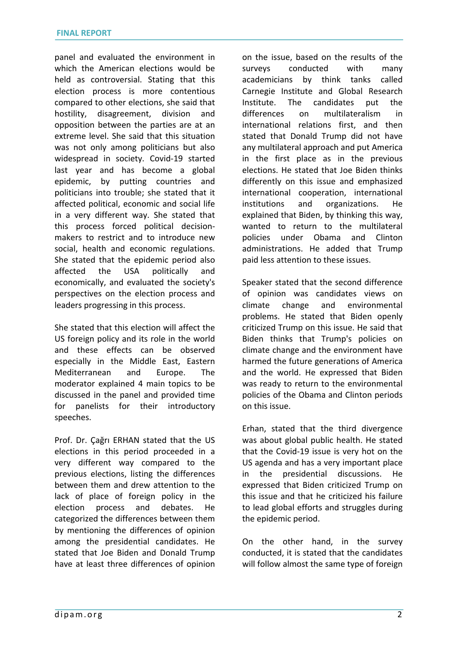panel and evaluated the environment in which the American elections would be held as controversial. Stating that this election process is more contentious compared to other elections, she said that hostility, disagreement, division and opposition between the parties are at an extreme level. She said that this situation was not only among politicians but also widespread in society. Covid-19 started last year and has become a global epidemic, by putting countries and politicians into trouble; she stated that it affected political, economic and social life in a very different way. She stated that this process forced political decisionmakers to restrict and to introduce new social, health and economic regulations. She stated that the epidemic period also affected the USA politically and economically, and evaluated the society's perspectives on the election process and leaders progressing in this process.

She stated that this election will affect the US foreign policy and its role in the world and these effects can be observed especially in the Middle East, Eastern Mediterranean and Europe. The moderator explained 4 main topics to be discussed in the panel and provided time for panelists for their introductory speeches.

Prof. Dr. Çağrı ERHAN stated that the US elections in this period proceeded in a very different way compared to the previous elections, listing the differences between them and drew attention to the lack of place of foreign policy in the election process and debates. He categorized the differences between them by mentioning the differences of opinion among the presidential candidates. He stated that Joe Biden and Donald Trump have at least three differences of opinion

on the issue, based on the results of the surveys conducted with many academicians by think tanks called Carnegie Institute and Global Research Institute. The candidates put the differences on multilateralism in international relations first, and then stated that Donald Trump did not have any multilateral approach and put America in the first place as in the previous elections. He stated that Joe Biden thinks differently on this issue and emphasized international cooperation, international institutions and organizations. He explained that Biden, by thinking this way, wanted to return to the multilateral policies under Obama and Clinton administrations. He added that Trump paid less attention to these issues.

Speaker stated that the second difference of opinion was candidates views on climate change and environmental problems. He stated that Biden openly criticized Trump on this issue. He said that Biden thinks that Trump's policies on climate change and the environment have harmed the future generations of America and the world. He expressed that Biden was ready to return to the environmental policies of the Obama and Clinton periods on this issue.

Erhan, stated that the third divergence was about global public health. He stated that the Covid-19 issue is very hot on the US agenda and has a very important place in the presidential discussions. He expressed that Biden criticized Trump on this issue and that he criticized his failure to lead global efforts and struggles during the epidemic period.

On the other hand, in the survey conducted, it is stated that the candidates will follow almost the same type of foreign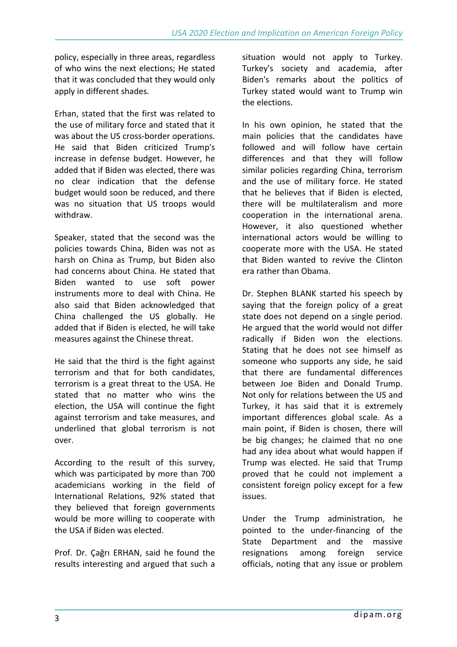policy, especially in three areas, regardless of who wins the next elections; He stated that it was concluded that they would only apply in different shades.

Erhan, stated that the first was related to the use of military force and stated that it was about the US cross-border operations. He said that Biden criticized Trump's increase in defense budget. However, he added that if Biden was elected, there was no clear indication that the defense budget would soon be reduced, and there was no situation that US troops would withdraw.

Speaker, stated that the second was the policies towards China, Biden was not as harsh on China as Trump, but Biden also had concerns about China. He stated that Biden wanted to use soft power instruments more to deal with China. He also said that Biden acknowledged that China challenged the US globally. He added that if Biden is elected, he will take measures against the Chinese threat.

He said that the third is the fight against terrorism and that for both candidates, terrorism is a great threat to the USA. He stated that no matter who wins the election, the USA will continue the fight against terrorism and take measures, and underlined that global terrorism is not over.

According to the result of this survey, which was participated by more than 700 academicians working in the field of International Relations, 92% stated that they believed that foreign governments would be more willing to cooperate with the USA if Biden was elected.

Prof. Dr. Çağrı ERHAN, said he found the results interesting and argued that such a

situation would not apply to Turkey. Turkey's society and academia, after Biden's remarks about the politics of Turkey stated would want to Trump win the elections.

In his own opinion, he stated that the main policies that the candidates have followed and will follow have certain differences and that they will follow similar policies regarding China, terrorism and the use of military force. He stated that he believes that if Biden is elected, there will be multilateralism and more cooperation in the international arena. However, it also questioned whether international actors would be willing to cooperate more with the USA. He stated that Biden wanted to revive the Clinton era rather than Obama.

Dr. Stephen BLANK started his speech by saying that the foreign policy of a great state does not depend on a single period. He argued that the world would not differ radically if Biden won the elections. Stating that he does not see himself as someone who supports any side, he said that there are fundamental differences between Joe Biden and Donald Trump. Not only for relations between the US and Turkey, it has said that it is extremely important differences global scale. As a main point, if Biden is chosen, there will be big changes; he claimed that no one had any idea about what would happen if Trump was elected. He said that Trump proved that he could not implement a consistent foreign policy except for a few issues.

Under the Trump administration, he pointed to the under-financing of the State Department and the massive resignations among foreign service officials, noting that any issue or problem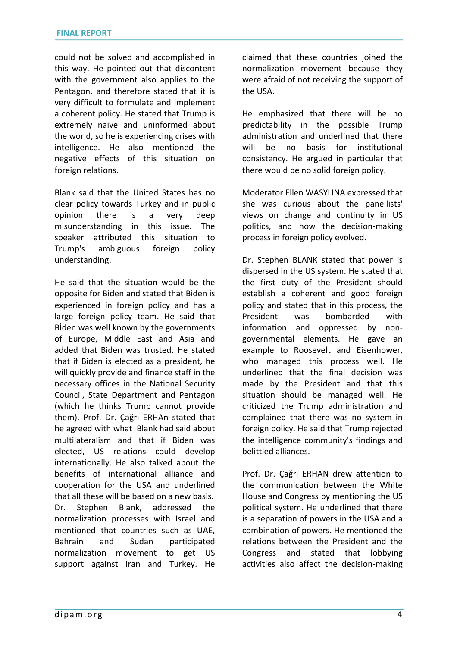could not be solved and accomplished in this way. He pointed out that discontent with the government also applies to the Pentagon, and therefore stated that it is very difficult to formulate and implement a coherent policy. He stated that Trump is extremely naive and uninformed about the world, so he is experiencing crises with intelligence. He also mentioned the negative effects of this situation on foreign relations.

Blank said that the United States has no clear policy towards Turkey and in public opinion there is a very deep misunderstanding in this issue. The speaker attributed this situation to Trump's ambiguous foreign policy understanding.

He said that the situation would be the opposite for Biden and stated that Biden is experienced in foreign policy and has a large foreign policy team. He said that Bİden was well known by the governments of Europe, Middle East and Asia and added that Biden was trusted. He stated that if Biden is elected as a president, he will quickly provide and finance staff in the necessary offices in the National Security Council, State Department and Pentagon (which he thinks Trump cannot provide them). Prof. Dr. Çağrı ERHAn stated that he agreed with what Blank had said about multilateralism and that if Biden was elected, US relations could develop internationally. He also talked about the benefits of international alliance and cooperation for the USA and underlined that all these will be based on a new basis. Dr. Stephen Blank, addressed the normalization processes with Israel and mentioned that countries such as UAE, Bahrain and Sudan participated normalization movement to get US support against Iran and Turkey. He

claimed that these countries joined the normalization movement because they were afraid of not receiving the support of the USA.

He emphasized that there will be no predictability in the possible Trump administration and underlined that there will be no basis for institutional consistency. He argued in particular that there would be no solid foreign policy.

Moderator Ellen WASYLINA expressed that she was curious about the panellists' views on change and continuity in US politics, and how the decision-making process in foreign policy evolved.

Dr. Stephen BLANK stated that power is dispersed in the US system. He stated that the first duty of the President should establish a coherent and good foreign policy and stated that in this process, the President was bombarded with information and oppressed by nongovernmental elements. He gave an example to Roosevelt and Eisenhower, who managed this process well. He underlined that the final decision was made by the President and that this situation should be managed well. He criticized the Trump administration and complained that there was no system in foreign policy. He said that Trump rejected the intelligence community's findings and belittled alliances.

Prof. Dr. Çağrı ERHAN drew attention to the communication between the White House and Congress by mentioning the US political system. He underlined that there is a separation of powers in the USA and a combination of powers. He mentioned the relations between the President and the Congress and stated that lobbying activities also affect the decision-making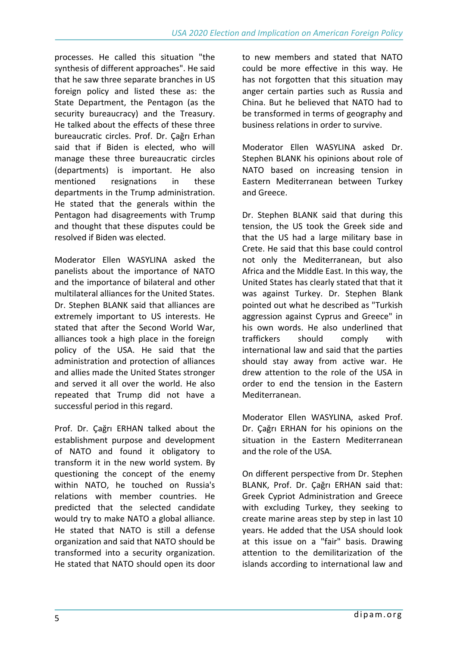processes. He called this situation "the synthesis of different approaches". He said that he saw three separate branches in US foreign policy and listed these as: the State Department, the Pentagon (as the security bureaucracy) and the Treasury. He talked about the effects of these three bureaucratic circles. Prof. Dr. Çağrı Erhan said that if Biden is elected, who will manage these three bureaucratic circles (departments) is important. He also mentioned resignations in these departments in the Trump administration. He stated that the generals within the Pentagon had disagreements with Trump and thought that these disputes could be resolved if Biden was elected.

Moderator Ellen WASYLINA asked the panelists about the importance of NATO and the importance of bilateral and other multilateral alliances for the United States. Dr. Stephen BLANK said that alliances are extremely important to US interests. He stated that after the Second World War, alliances took a high place in the foreign policy of the USA. He said that the administration and protection of alliances and allies made the United States stronger and served it all over the world. He also repeated that Trump did not have a successful period in this regard.

Prof. Dr. Çağrı ERHAN talked about the establishment purpose and development of NATO and found it obligatory to transform it in the new world system. By questioning the concept of the enemy within NATO, he touched on Russia's relations with member countries. He predicted that the selected candidate would try to make NATO a global alliance. He stated that NATO is still a defense organization and said that NATO should be transformed into a security organization. He stated that NATO should open its door

to new members and stated that NATO could be more effective in this way. He has not forgotten that this situation may anger certain parties such as Russia and China. But he believed that NATO had to be transformed in terms of geography and business relations in order to survive.

Moderator Ellen WASYLINA asked Dr. Stephen BLANK his opinions about role of NATO based on increasing tension in Eastern Mediterranean between Turkey and Greece.

Dr. Stephen BLANK said that during this tension, the US took the Greek side and that the US had a large military base in Crete. He said that this base could control not only the Mediterranean, but also Africa and the Middle East. In this way, the United States has clearly stated that that it was against Turkey. Dr. Stephen Blank pointed out what he described as "Turkish aggression against Cyprus and Greece" in his own words. He also underlined that traffickers should comply with international law and said that the parties should stay away from active war. He drew attention to the role of the USA in order to end the tension in the Eastern Mediterranean.

Moderator Ellen WASYLINA, asked Prof. Dr. Çağrı ERHAN for his opinions on the situation in the Eastern Mediterranean and the role of the USA.

On different perspective from Dr. Stephen BLANK, Prof. Dr. Çağrı ERHAN said that: Greek Cypriot Administration and Greece with excluding Turkey, they seeking to create marine areas step by step in last 10 years. He added that the USA should look at this issue on a "fair" basis. Drawing attention to the demilitarization of the islands according to international law and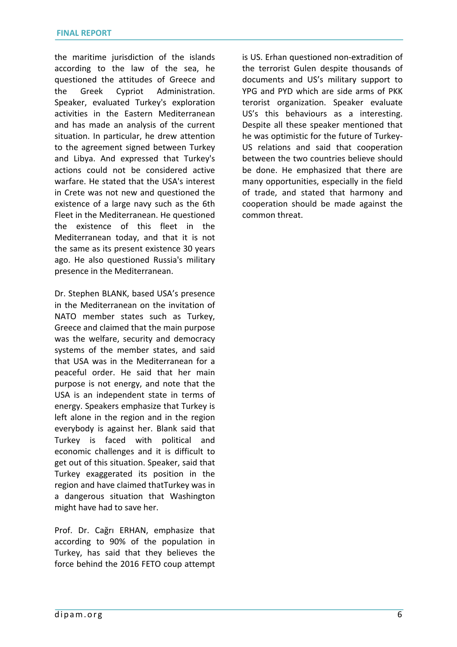the maritime jurisdiction of the islands according to the law of the sea, he questioned the attitudes of Greece and the Greek Cypriot Administration. Speaker, evaluated Turkey's exploration activities in the Eastern Mediterranean and has made an analysis of the current situation. In particular, he drew attention to the agreement signed between Turkey and Libya. And expressed that Turkey's actions could not be considered active warfare. He stated that the USA's interest in Crete was not new and questioned the existence of a large navy such as the 6th Fleet in the Mediterranean. He questioned the existence of this fleet in the Mediterranean today, and that it is not the same as its present existence 30 years ago. He also questioned Russia's military presence in the Mediterranean.

Dr. Stephen BLANK, based USA's presence in the Mediterranean on the invitation of NATO member states such as Turkey, Greece and claimed that the main purpose was the welfare, security and democracy systems of the member states, and said that USA was in the Mediterranean for a peaceful order. He said that her main purpose is not energy, and note that the USA is an independent state in terms of energy. Speakers emphasize that Turkey is left alone in the region and in the region everybody is against her. Blank said that Turkey is faced with political and economic challenges and it is difficult to get out of this situation. Speaker, said that Turkey exaggerated its position in the region and have claimed thatTurkey was in a dangerous situation that Washington might have had to save her.

Prof. Dr. Cağrı ERHAN, emphasize that according to 90% of the population in Turkey, has said that they believes the force behind the 2016 FETO coup attempt

is US. Erhan questioned non-extradition of the terrorist Gulen despite thousands of documents and US's military support to YPG and PYD which are side arms of PKK terorist organization. Speaker evaluate US's this behaviours as a interesting. Despite all these speaker mentioned that he was optimistic for the future of Turkey-US relations and said that cooperation between the two countries believe should be done. He emphasized that there are many opportunities, especially in the field of trade, and stated that harmony and cooperation should be made against the common threat.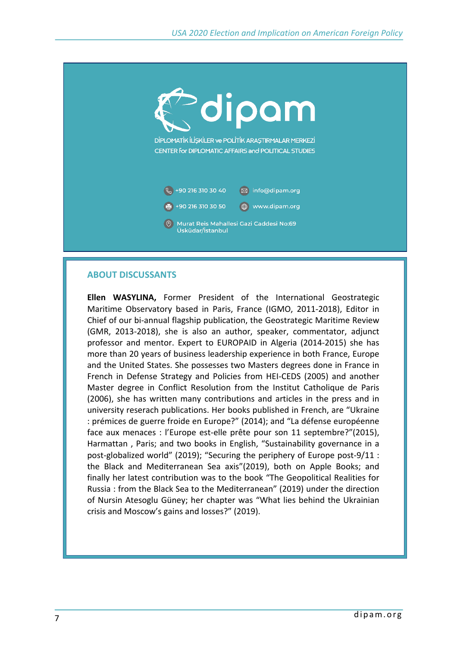

## **ABOUT DISCUSSANTS**

**Ellen WASYLINA,** Former President of the International Geostrategic Maritime Observatory based in Paris, France (IGMO, 2011-2018), Editor in Chief of our bi-annual flagship publication, the Geostrategic Maritime Review (GMR, 2013-2018), she is also an author, speaker, commentator, adjunct professor and mentor. Expert to EUROPAID in Algeria (2014-2015) she has more than 20 years of business leadership experience in both France, Europe and the United States. She possesses two Masters degrees done in France in French in Defense Strategy and Policies from HEI-CEDS (2005) and another Master degree in Conflict Resolution from the Institut Catholique de Paris (2006), she has written many contributions and articles in the press and in university reserach publications. Her books published in French, are "Ukraine : prémices de guerre froide en Europe?" (2014); and "La défense européenne face aux menaces : l'Europe est-elle prête pour son 11 septembre?"(2015), Harmattan , Paris; and two books in English, "Sustainability governance in a post-globalized world" (2019); "Securing the periphery of Europe post-9/11 : the Black and Mediterranean Sea axis"(2019), both on Apple Books; and finally her latest contribution was to the book "The Geopolitical Realities for Russia : from the Black Sea to the Mediterranean" (2019) under the direction of Nursin Atesoglu Güney; her chapter was "What lies behind the Ukrainian crisis and Moscow's gains and losses?" (2019).